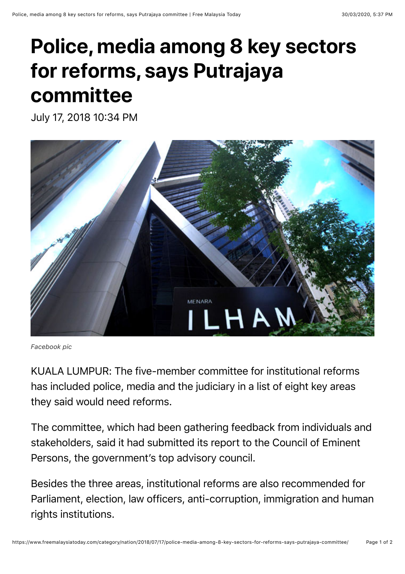## **Police, media among 8 key sectors for reforms, says Putrajaya committee**

July 17, 2018 10:34 PM



*Facebook pic*

KUALA LUMPUR: The five-member committee for institutional reforms has included police, media and the judiciary in a list of eight key areas they said would need reforms.

The committee, which had been gathering feedback from individuals and stakeholders, said it had submitted its report to the Council of Eminent Persons, the government's top advisory council.

Besides the three areas, institutional reforms are also recommended for Parliament, election, law officers, anti-corruption, immigration and human rights institutions.